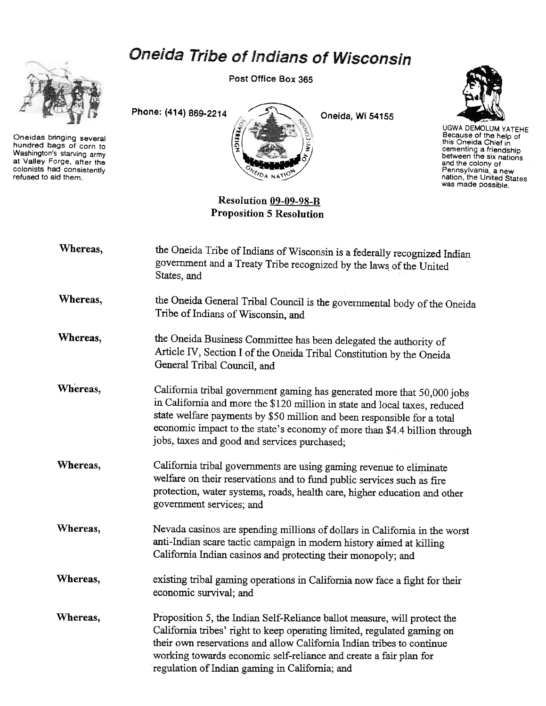

Oneidas bringing several hundred bags of corn to Washington's starving army at Valley Forge, after the colonists had consistently refused to aid them.

Oneida Tribe of Indians of Wisconsin

Post Office Box 365





UGWA DEMOLUM YATEHE Because of the help of<br>this Oneida Chief in cementing a friendship between the six nations and the colony of Pennsylvania, a new nation, the United States was made possible.

Resolution 09-09-98-B Proposition 5 Resolution

| Whereas, | the Oneida Tribe of Indians of Wisconsin is a federally recognized Indian<br>government and a Treaty Tribe recognized by the laws of the United<br>States, and                                                                                                                                                                                                |
|----------|---------------------------------------------------------------------------------------------------------------------------------------------------------------------------------------------------------------------------------------------------------------------------------------------------------------------------------------------------------------|
| Whereas, | the Oneida General Tribal Council is the governmental body of the Oneida<br>Tribe of Indians of Wisconsin, and                                                                                                                                                                                                                                                |
| Whereas, | the Oneida Business Committee has been delegated the authority of<br>Article IV, Section I of the Oneida Tribal Constitution by the Oneida<br>General Tribal Council, and                                                                                                                                                                                     |
| Whereas. | California tribal government gaming has generated more that 50,000 jobs<br>in California and more the \$120 million in state and local taxes, reduced<br>state welfare payments by \$50 million and been responsible for a total<br>economic impact to the state's economy of more than \$4.4 billion through<br>jobs, taxes and good and services purchased; |
| Whereas, | California tribal governments are using gaming revenue to eliminate<br>welfare on their reservations and to fund public services such as fire<br>protection, water systems, roads, health care, higher education and other<br>government services; and                                                                                                        |

Whereas, Nevada casinos are spending millions of dollars in California in the worst anti-Indian scare tactic campaign in modem history aimed at killing California Indian casinos and protecting their monopoly; and

Whereas, existing tribal gaming operations in California now face a fight for their economic survival; and

Whereas, Proposition 5, the Indian Self-Reliance ballot measure, will protect the California tribes' right to keep operating limited, regulated gaming on their own reservations and allow California Indian tribes to continue working towards economic self-reliance and create a fair plan for regulation of Indian gaming in California; and